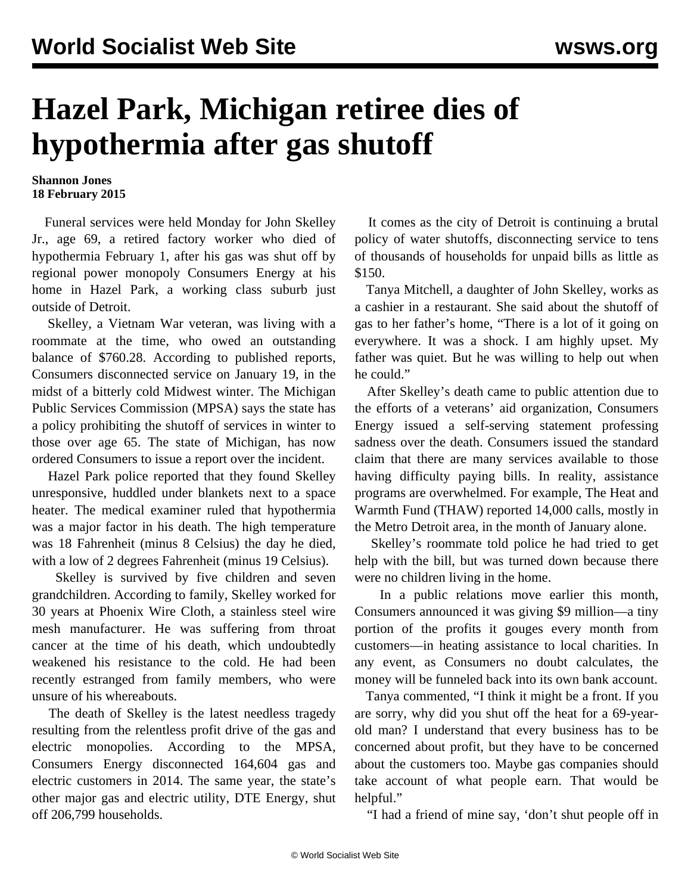## **Hazel Park, Michigan retiree dies of hypothermia after gas shutoff**

## **Shannon Jones 18 February 2015**

 Funeral services were held Monday for John Skelley Jr., age 69, a retired factory worker who died of hypothermia February 1, after his gas was shut off by regional power monopoly Consumers Energy at his home in Hazel Park, a working class suburb just outside of Detroit.

 Skelley, a Vietnam War veteran, was living with a roommate at the time, who owed an outstanding balance of \$760.28. According to published reports, Consumers disconnected service on January 19, in the midst of a bitterly cold Midwest winter. The Michigan Public Services Commission (MPSA) says the state has a policy prohibiting the shutoff of services in winter to those over age 65. The state of Michigan, has now ordered Consumers to issue a report over the incident.

 Hazel Park police reported that they found Skelley unresponsive, huddled under blankets next to a space heater. The medical examiner ruled that hypothermia was a major factor in his death. The high temperature was 18 Fahrenheit (minus 8 Celsius) the day he died, with a low of 2 degrees Fahrenheit (minus 19 Celsius).

 Skelley is survived by five children and seven grandchildren. According to family, Skelley worked for 30 years at Phoenix Wire Cloth, a stainless steel wire mesh manufacturer. He was suffering from throat cancer at the time of his death, which undoubtedly weakened his resistance to the cold. He had been recently estranged from family members, who were unsure of his whereabouts.

 The death of Skelley is the latest needless tragedy resulting from the relentless profit drive of the gas and electric monopolies. According to the MPSA, Consumers Energy disconnected 164,604 gas and electric customers in 2014. The same year, the state's other major gas and electric utility, DTE Energy, shut off 206,799 households.

 It comes as the city of Detroit is continuing a brutal policy of water shutoffs, disconnecting service to tens of thousands of households for unpaid bills as little as \$150.

 Tanya Mitchell, a daughter of John Skelley, works as a cashier in a restaurant. She said about the shutoff of gas to her father's home, "There is a lot of it going on everywhere. It was a shock. I am highly upset. My father was quiet. But he was willing to help out when he could."

 After Skelley's death came to public attention due to the efforts of a veterans' aid organization, Consumers Energy issued a self-serving statement professing sadness over the death. Consumers issued the standard claim that there are many services available to those having difficulty paying bills. In reality, assistance programs are overwhelmed. For example, The Heat and Warmth Fund (THAW) reported 14,000 calls, mostly in the Metro Detroit area, in the month of January alone.

 Skelley's roommate told police he had tried to get help with the bill, but was turned down because there were no children living in the home.

 In a public relations move earlier this month, Consumers announced it was giving \$9 million—a tiny portion of the profits it gouges every month from customers—in heating assistance to local charities. In any event, as Consumers no doubt calculates, the money will be funneled back into its own bank account.

 Tanya commented, "I think it might be a front. If you are sorry, why did you shut off the heat for a 69-yearold man? I understand that every business has to be concerned about profit, but they have to be concerned about the customers too. Maybe gas companies should take account of what people earn. That would be helpful."

"I had a friend of mine say, 'don't shut people off in